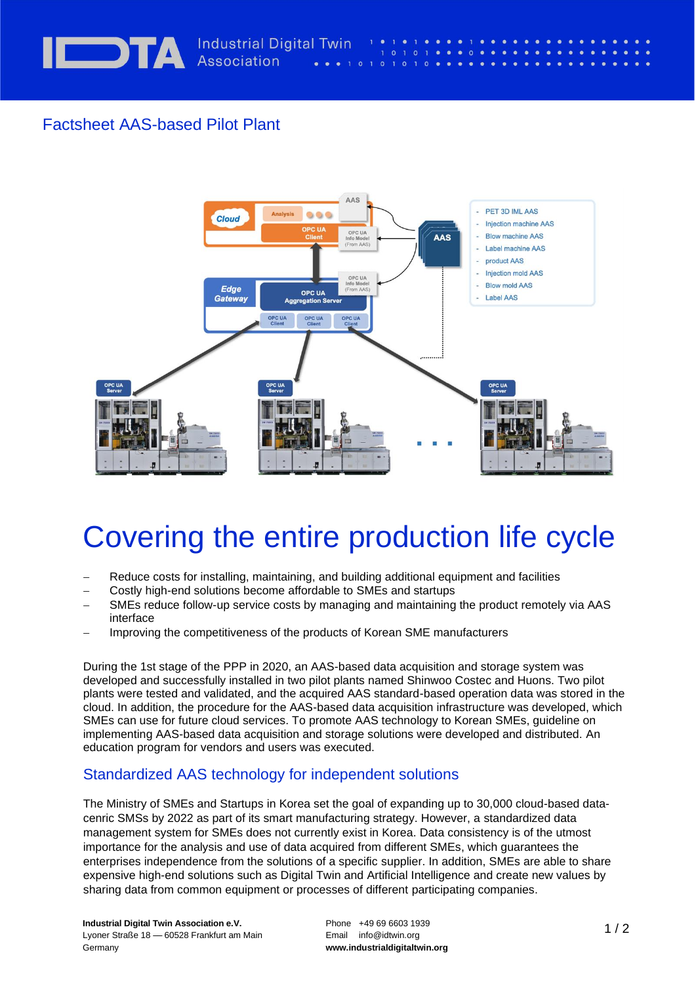

## Factsheet AAS-based Pilot Plant



 $\Omega$ 

## Covering the entire production life cycle

- Reduce costs for installing, maintaining, and building additional equipment and facilities
- − Costly high-end solutions become affordable to SMEs and startups
- − SMEs reduce follow-up service costs by managing and maintaining the product remotely via AAS interface
- Improving the competitiveness of the products of Korean SME manufacturers

During the 1st stage of the PPP in 2020, an AAS-based data acquisition and storage system was developed and successfully installed in two pilot plants named Shinwoo Costec and Huons. Two pilot plants were tested and validated, and the acquired AAS standard-based operation data was stored in the cloud. In addition, the procedure for the AAS-based data acquisition infrastructure was developed, which SMEs can use for future cloud services. To promote AAS technology to Korean SMEs, guideline on implementing AAS-based data acquisition and storage solutions were developed and distributed. An education program for vendors and users was executed.

## . Standardized AAS technology for independent solutions

The Ministry of SMEs and Startups in Korea set the goal of expanding up to 30,000 cloud-based datacenric SMSs by 2022 as part of its smart manufacturing strategy. However, a standardized data management system for SMEs does not currently exist in Korea. Data consistency is of the utmost importance for the analysis and use of data acquired from different SMEs, which guarantees the enterprises independence from the solutions of a specific supplier. In addition, SMEs are able to share expensive high-end solutions such as Digital Twin and Artificial Intelligence and create new values by sharing data from common equipment or processes of different participating companies.